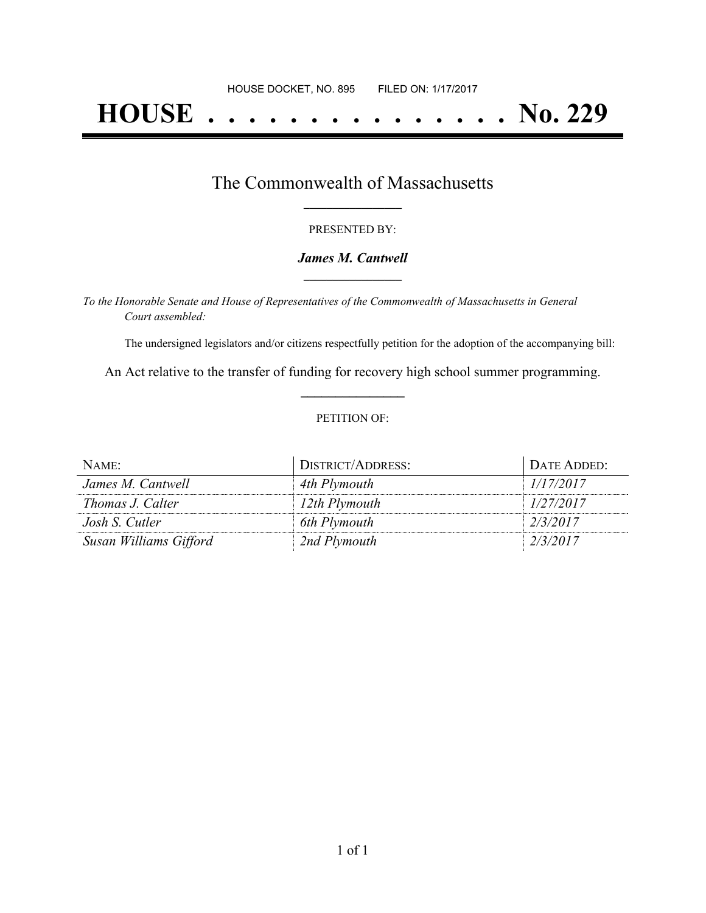# **HOUSE . . . . . . . . . . . . . . . No. 229**

### The Commonwealth of Massachusetts **\_\_\_\_\_\_\_\_\_\_\_\_\_\_\_\_\_**

#### PRESENTED BY:

#### *James M. Cantwell* **\_\_\_\_\_\_\_\_\_\_\_\_\_\_\_\_\_**

*To the Honorable Senate and House of Representatives of the Commonwealth of Massachusetts in General Court assembled:*

The undersigned legislators and/or citizens respectfully petition for the adoption of the accompanying bill:

An Act relative to the transfer of funding for recovery high school summer programming. **\_\_\_\_\_\_\_\_\_\_\_\_\_\_\_**

#### PETITION OF:

| NAME:                  | DISTRICT/ADDRESS: | DATE ADDED: |
|------------------------|-------------------|-------------|
| James M. Cantwell      | 4th Plymouth      | 1/17/2017   |
| Thomas J. Calter       | 12th Plymouth     | 1/27/2017   |
| Josh S. Cutler         | 6th Plymouth      | 2/3/2017    |
| Susan Williams Gifford | 2nd Plymouth      | 2/3/2017    |